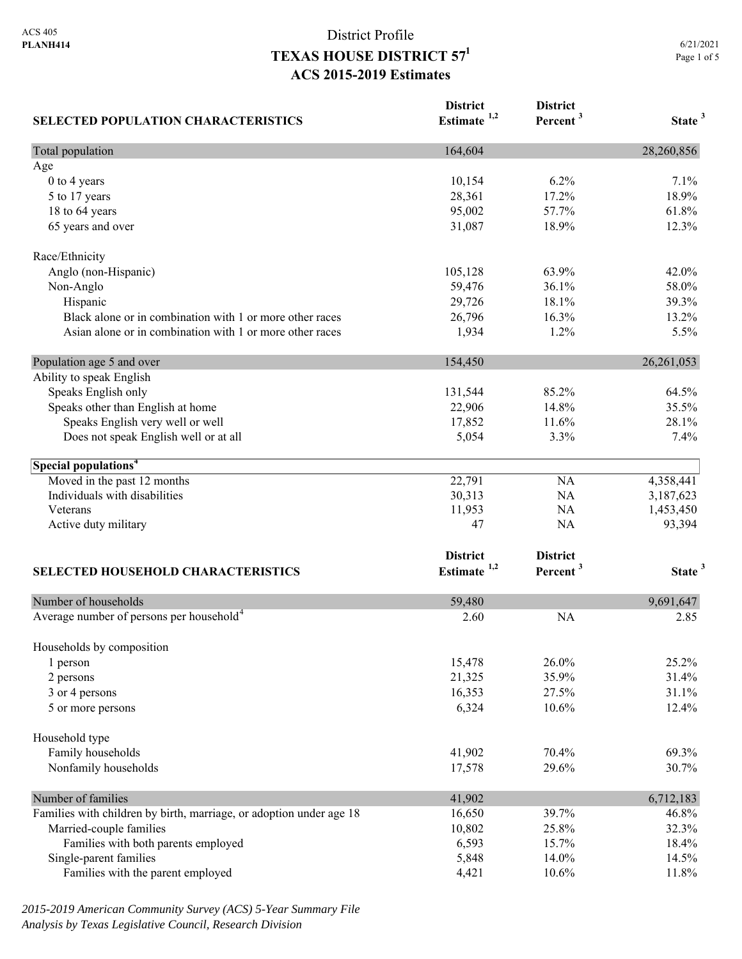| <b>SELECTED POPULATION CHARACTERISTICS</b>                          | <b>District</b><br>Estimate <sup>1,2</sup> | <b>District</b><br>Percent <sup>3</sup> | State <sup>3</sup> |
|---------------------------------------------------------------------|--------------------------------------------|-----------------------------------------|--------------------|
| Total population                                                    | 164,604                                    |                                         | 28,260,856         |
| Age                                                                 |                                            |                                         |                    |
| 0 to 4 years                                                        | 10,154                                     | 6.2%                                    | 7.1%               |
| 5 to 17 years                                                       | 28,361                                     | 17.2%                                   | 18.9%              |
| 18 to 64 years                                                      | 95,002                                     | 57.7%                                   | 61.8%              |
| 65 years and over                                                   | 31,087                                     | 18.9%                                   | 12.3%              |
| Race/Ethnicity                                                      |                                            |                                         |                    |
| Anglo (non-Hispanic)                                                | 105,128                                    | 63.9%                                   | 42.0%              |
| Non-Anglo                                                           | 59,476                                     | 36.1%                                   | 58.0%              |
| Hispanic                                                            | 29,726                                     | 18.1%                                   | 39.3%              |
| Black alone or in combination with 1 or more other races            | 26,796                                     | 16.3%                                   | 13.2%              |
| Asian alone or in combination with 1 or more other races            | 1,934                                      | 1.2%                                    | 5.5%               |
| Population age 5 and over                                           | 154,450                                    |                                         | 26, 261, 053       |
| Ability to speak English                                            |                                            |                                         |                    |
| Speaks English only                                                 | 131,544                                    | 85.2%                                   | 64.5%              |
| Speaks other than English at home                                   | 22,906                                     | 14.8%                                   | 35.5%              |
| Speaks English very well or well                                    | 17,852                                     | 11.6%                                   | 28.1%              |
| Does not speak English well or at all                               | 5,054                                      | 3.3%                                    | 7.4%               |
| Special populations <sup>4</sup>                                    |                                            |                                         |                    |
| Moved in the past 12 months                                         | 22,791                                     | NA                                      | 4,358,441          |
| Individuals with disabilities                                       | 30,313                                     | NA                                      | 3,187,623          |
| Veterans                                                            | 11,953                                     | NA                                      | 1,453,450          |
| Active duty military                                                | 47                                         | NA                                      | 93,394             |
|                                                                     | <b>District</b>                            | <b>District</b>                         |                    |
| <b>SELECTED HOUSEHOLD CHARACTERISTICS</b>                           | Estimate <sup>1,2</sup>                    | Percent <sup>3</sup>                    | State <sup>3</sup> |
| Number of households                                                | 59,480                                     |                                         | 9,691,647          |
| Average number of persons per household <sup>4</sup>                | 2.60                                       | <b>NA</b>                               | 2.85               |
| Households by composition                                           |                                            |                                         |                    |
| 1 person                                                            | 15,478                                     | 26.0%                                   | 25.2%              |
| 2 persons                                                           | 21,325                                     | 35.9%                                   | 31.4%              |
| 3 or 4 persons                                                      | 16,353                                     | 27.5%                                   | 31.1%              |
| 5 or more persons                                                   | 6,324                                      | 10.6%                                   | 12.4%              |
| Household type                                                      |                                            |                                         |                    |
| Family households                                                   | 41,902                                     | 70.4%                                   | 69.3%              |
| Nonfamily households                                                | 17,578                                     | 29.6%                                   | 30.7%              |
| Number of families                                                  | 41,902                                     |                                         | 6,712,183          |
| Families with children by birth, marriage, or adoption under age 18 | 16,650                                     | 39.7%                                   | 46.8%              |
| Married-couple families                                             | 10,802                                     | 25.8%                                   | 32.3%              |
| Families with both parents employed                                 | 6,593                                      | 15.7%                                   | 18.4%              |
| Single-parent families                                              | 5,848                                      | 14.0%                                   | 14.5%              |
| Families with the parent employed                                   | 4,421                                      | 10.6%                                   | 11.8%              |

*2015-2019 American Community Survey (ACS) 5-Year Summary File Analysis by Texas Legislative Council, Research Division*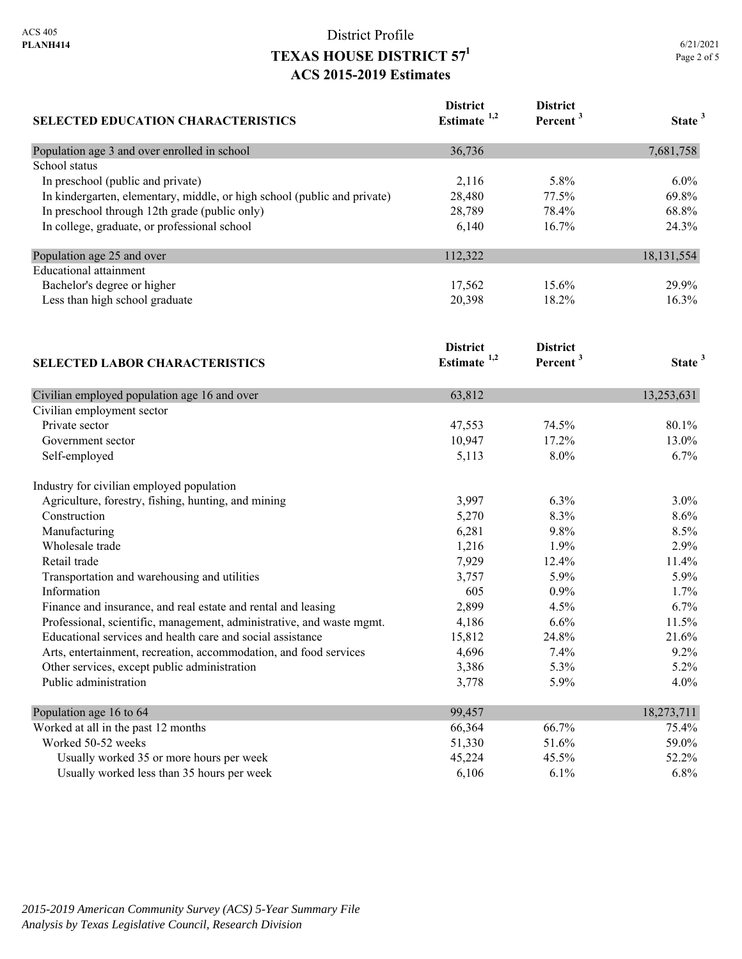| <b>SELECTED EDUCATION CHARACTERISTICS</b>                                | <b>District</b><br>Estimate <sup>1,2</sup> | <b>District</b><br>Percent <sup>3</sup> | State <sup>3</sup> |
|--------------------------------------------------------------------------|--------------------------------------------|-----------------------------------------|--------------------|
| Population age 3 and over enrolled in school                             | 36,736                                     |                                         | 7,681,758          |
| School status                                                            |                                            |                                         |                    |
| In preschool (public and private)                                        | 2,116                                      | 5.8%                                    | 6.0%               |
| In kindergarten, elementary, middle, or high school (public and private) | 28,480                                     | 77.5%                                   | 69.8%              |
| In preschool through 12th grade (public only)                            | 28,789                                     | 78.4%                                   | 68.8%              |
| In college, graduate, or professional school                             | 6,140                                      | 16.7%                                   | 24.3%              |
| Population age 25 and over                                               | 112,322                                    |                                         | 18, 131, 554       |
| <b>Educational</b> attainment                                            |                                            |                                         |                    |
| Bachelor's degree or higher                                              | 17,562                                     | 15.6%                                   | 29.9%              |
| Less than high school graduate                                           | 20,398                                     | 18.2%                                   | 16.3%              |
|                                                                          | <b>District</b>                            | <b>District</b>                         |                    |
| <b>SELECTED LABOR CHARACTERISTICS</b>                                    | Estimate $1,2$                             | Percent <sup>3</sup>                    | State <sup>3</sup> |
| Civilian employed population age 16 and over                             | 63,812                                     |                                         | 13,253,631         |
| Civilian employment sector                                               |                                            |                                         |                    |
| Private sector                                                           | 47,553                                     | 74.5%                                   | 80.1%              |
| Government sector                                                        | 10,947                                     | 17.2%                                   | 13.0%              |
| Self-employed                                                            | 5,113                                      | 8.0%                                    | 6.7%               |
| Industry for civilian employed population                                |                                            |                                         |                    |
| Agriculture, forestry, fishing, hunting, and mining                      | 3,997                                      | 6.3%                                    | 3.0%               |
| Construction                                                             | 5,270                                      | 8.3%                                    | 8.6%               |
| Manufacturing                                                            | 6,281                                      | 9.8%                                    | 8.5%               |
| Wholesale trade                                                          | 1,216                                      | 1.9%                                    | 2.9%               |
| Retail trade                                                             | 7,929                                      | 12.4%                                   | 11.4%              |
| Transportation and warehousing and utilities                             | 3,757                                      | 5.9%                                    | 5.9%               |
| Information                                                              | 605                                        | 0.9%                                    | 1.7%               |
| Finance and insurance, and real estate and rental and leasing            | 2,899                                      | 4.5%                                    | 6.7%               |
| Professional, scientific, management, administrative, and waste mgmt.    | 4,186                                      | 6.6%                                    | 11.5%              |
| Educational services and health care and social assistance               | 15,812                                     | 24.8%                                   | 21.6%              |
| Arts, entertainment, recreation, accommodation, and food services        | 4,696                                      | 7.4%                                    | 9.2%               |
| Other services, except public administration                             | 3,386                                      | 5.3%                                    | 5.2%               |
| Public administration                                                    | 3,778                                      | 5.9%                                    | 4.0%               |
| Population age 16 to 64                                                  | 99,457                                     |                                         | 18,273,711         |
| Worked at all in the past 12 months                                      | 66,364                                     | 66.7%                                   | 75.4%              |
| Worked 50-52 weeks                                                       | 51,330                                     | 51.6%                                   | 59.0%              |
| Usually worked 35 or more hours per week                                 | 45,224                                     | 45.5%                                   | 52.2%              |
| Usually worked less than 35 hours per week                               | 6,106                                      | 6.1%                                    | 6.8%               |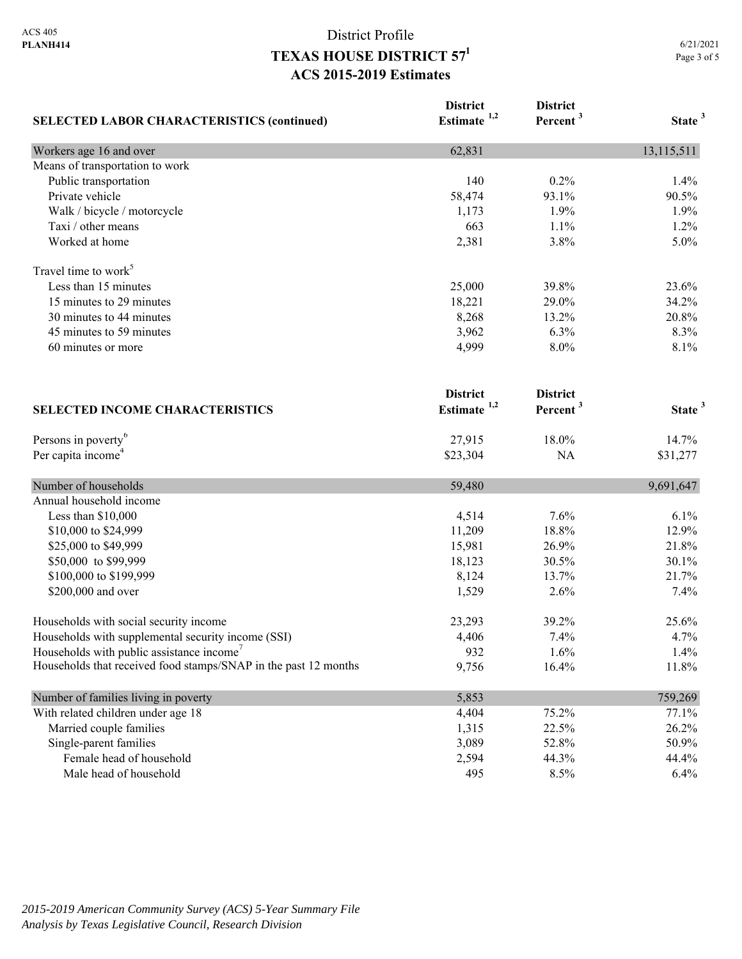| <b>SELECTED LABOR CHARACTERISTICS (continued)</b>               | <b>District</b><br>Estimate <sup>1,2</sup> | <b>District</b><br>Percent <sup>3</sup> | State <sup>3</sup> |
|-----------------------------------------------------------------|--------------------------------------------|-----------------------------------------|--------------------|
| Workers age 16 and over                                         | 62,831                                     |                                         | 13,115,511         |
| Means of transportation to work                                 |                                            |                                         |                    |
| Public transportation                                           | 140                                        | 0.2%                                    | 1.4%               |
| Private vehicle                                                 | 58,474                                     | 93.1%                                   | 90.5%              |
| Walk / bicycle / motorcycle                                     | 1,173                                      | 1.9%                                    | 1.9%               |
| Taxi / other means                                              | 663                                        | 1.1%                                    | 1.2%               |
| Worked at home                                                  | 2,381                                      | 3.8%                                    | 5.0%               |
| Travel time to work <sup>5</sup>                                |                                            |                                         |                    |
| Less than 15 minutes                                            | 25,000                                     | 39.8%                                   | 23.6%              |
| 15 minutes to 29 minutes                                        | 18,221                                     | 29.0%                                   | 34.2%              |
| 30 minutes to 44 minutes                                        | 8,268                                      | 13.2%                                   | 20.8%              |
| 45 minutes to 59 minutes                                        | 3,962                                      | 6.3%                                    | 8.3%               |
| 60 minutes or more                                              | 4,999                                      | 8.0%                                    | 8.1%               |
| <b>SELECTED INCOME CHARACTERISTICS</b>                          | <b>District</b><br>Estimate <sup>1,2</sup> | <b>District</b><br>Percent <sup>3</sup> | State <sup>3</sup> |
| Persons in poverty <sup>6</sup>                                 | 27,915                                     | 18.0%                                   | 14.7%              |
| Per capita income <sup>4</sup>                                  | \$23,304                                   | NA                                      | \$31,277           |
| Number of households                                            | 59,480                                     |                                         | 9,691,647          |
| Annual household income                                         |                                            |                                         |                    |
| Less than \$10,000                                              | 4,514                                      | 7.6%                                    | 6.1%               |
| \$10,000 to \$24,999                                            | 11,209                                     | 18.8%                                   | 12.9%              |
| \$25,000 to \$49,999                                            | 15,981                                     | 26.9%                                   | 21.8%              |
| \$50,000 to \$99,999                                            | 18,123                                     | 30.5%                                   | 30.1%              |
| \$100,000 to \$199,999                                          | 8,124                                      | 13.7%                                   | 21.7%              |
| \$200,000 and over                                              | 1,529                                      | 2.6%                                    | 7.4%               |
| Households with social security income                          | 23,293                                     | 39.2%                                   | 25.6%              |
| Households with supplemental security income (SSI)              | 4,406                                      | 7.4%                                    | 4.7%               |
| Households with public assistance income <sup>7</sup>           | 932                                        | 1.6%                                    | 1.4%               |
| Households that received food stamps/SNAP in the past 12 months | 9,756                                      | 16.4%                                   | 11.8%              |
| Number of families living in poverty                            | 5,853                                      |                                         | 759,269            |
| With related children under age 18                              | 4,404                                      | 75.2%                                   | 77.1%              |
| Married couple families                                         | 1,315                                      | 22.5%                                   | 26.2%              |
| Single-parent families                                          | 3,089                                      | 52.8%                                   | 50.9%              |
| Female head of household                                        | 2,594                                      | 44.3%                                   | 44.4%              |
| Male head of household                                          | 495                                        | 8.5%                                    | 6.4%               |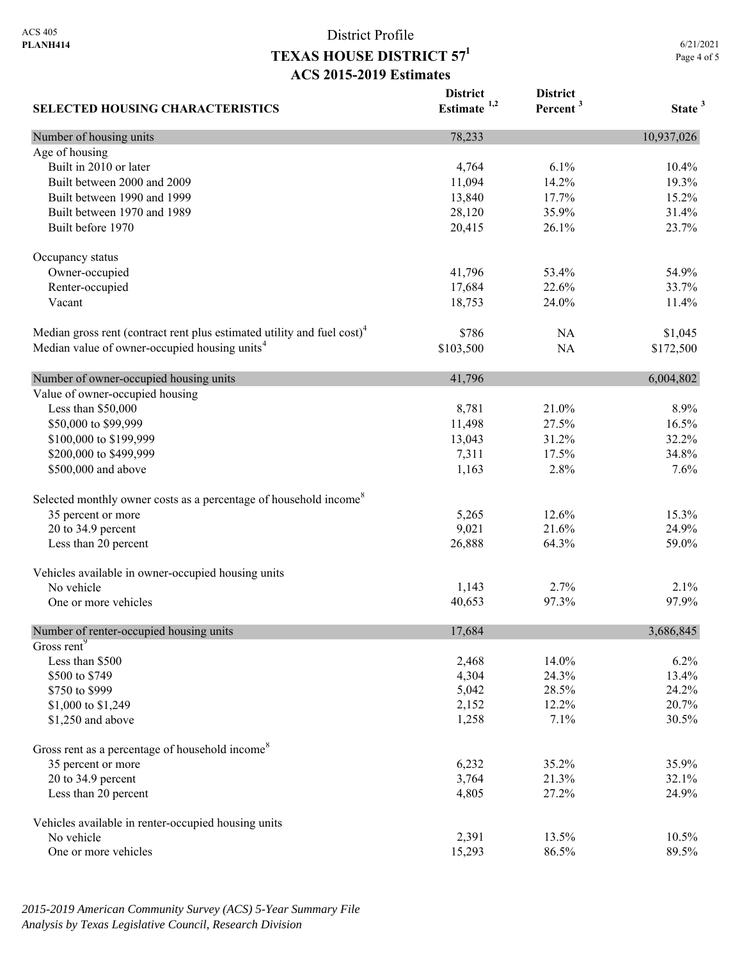| <b>SELECTED HOUSING CHARACTERISTICS</b>                                             | <b>District</b><br>Estimate $1,2$ | <b>District</b><br>Percent <sup>3</sup> | State <sup>3</sup> |
|-------------------------------------------------------------------------------------|-----------------------------------|-----------------------------------------|--------------------|
| Number of housing units                                                             | 78,233                            |                                         | 10,937,026         |
| Age of housing                                                                      |                                   |                                         |                    |
| Built in 2010 or later                                                              | 4,764                             | 6.1%                                    | 10.4%              |
| Built between 2000 and 2009                                                         | 11,094                            | 14.2%                                   | 19.3%              |
| Built between 1990 and 1999                                                         | 13,840                            | 17.7%                                   | 15.2%              |
| Built between 1970 and 1989                                                         | 28,120                            | 35.9%                                   | 31.4%              |
| Built before 1970                                                                   | 20,415                            | 26.1%                                   | 23.7%              |
| Occupancy status                                                                    |                                   |                                         |                    |
| Owner-occupied                                                                      | 41,796                            | 53.4%                                   | 54.9%              |
| Renter-occupied                                                                     | 17,684                            | 22.6%                                   | 33.7%              |
| Vacant                                                                              | 18,753                            | 24.0%                                   | 11.4%              |
| Median gross rent (contract rent plus estimated utility and fuel cost) <sup>4</sup> | \$786                             | <b>NA</b>                               | \$1,045            |
| Median value of owner-occupied housing units <sup>4</sup>                           | \$103,500                         | <b>NA</b>                               | \$172,500          |
| Number of owner-occupied housing units                                              | 41,796                            |                                         | 6,004,802          |
| Value of owner-occupied housing                                                     |                                   |                                         |                    |
| Less than \$50,000                                                                  | 8,781                             | 21.0%                                   | 8.9%               |
| \$50,000 to \$99,999                                                                | 11,498                            | 27.5%                                   | 16.5%              |
| \$100,000 to \$199,999                                                              | 13,043                            | 31.2%                                   | 32.2%              |
| \$200,000 to \$499,999                                                              | 7,311                             | 17.5%                                   | 34.8%              |
| \$500,000 and above                                                                 | 1,163                             | 2.8%                                    | 7.6%               |
| Selected monthly owner costs as a percentage of household income <sup>8</sup>       |                                   |                                         |                    |
| 35 percent or more                                                                  | 5,265                             | 12.6%                                   | 15.3%              |
| 20 to 34.9 percent                                                                  | 9,021                             | 21.6%                                   | 24.9%              |
| Less than 20 percent                                                                | 26,888                            | 64.3%                                   | 59.0%              |
| Vehicles available in owner-occupied housing units                                  |                                   |                                         |                    |
| No vehicle                                                                          | 1,143                             | 2.7%                                    | 2.1%               |
| One or more vehicles                                                                | 40,653                            | 97.3%                                   | 97.9%              |
| Number of renter-occupied housing units                                             | 17,684                            |                                         | 3,686,845          |
| Gross rent <sup>9</sup>                                                             |                                   |                                         |                    |
| Less than \$500                                                                     | 2,468                             | 14.0%                                   | 6.2%               |
| \$500 to \$749                                                                      | 4,304                             | 24.3%                                   | 13.4%              |
| \$750 to \$999                                                                      | 5,042                             | 28.5%                                   | 24.2%              |
| \$1,000 to \$1,249                                                                  | 2,152                             | 12.2%                                   | 20.7%              |
| \$1,250 and above                                                                   | 1,258                             | 7.1%                                    | 30.5%              |
| Gross rent as a percentage of household income <sup>8</sup>                         |                                   |                                         |                    |
| 35 percent or more                                                                  | 6,232                             | 35.2%                                   | 35.9%              |
| 20 to 34.9 percent                                                                  | 3,764                             | 21.3%                                   | 32.1%              |
| Less than 20 percent                                                                | 4,805                             | 27.2%                                   | 24.9%              |
| Vehicles available in renter-occupied housing units                                 |                                   |                                         |                    |
| No vehicle                                                                          | 2,391                             | 13.5%                                   | 10.5%              |
| One or more vehicles                                                                | 15,293                            | 86.5%                                   | 89.5%              |